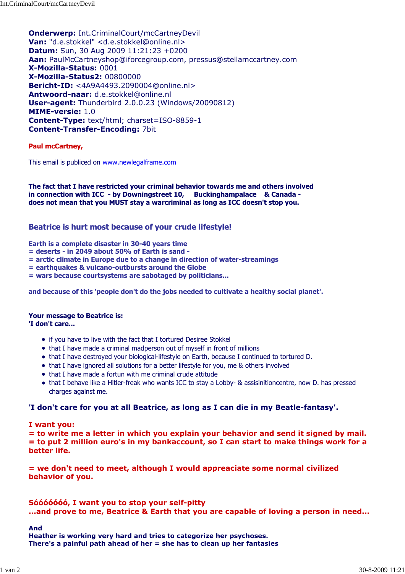Onderwerp: Int.CriminalCourt/mcCartneyDevil Van: "d.e.stokkel" <d.e.stokkel@online.nl> Datum: Sun, 30 Aug 2009 11:21:23 +0200 Aan: PaulMcCartneyshop@iforcegroup.com, pressus@stellamccartney.com X-Mozilla-Status: 0001 X-Mozilla-Status2: 00800000 Bericht-ID: <4A9A4493.2090004@online.nl> Antwoord-naar: d.e.stokkel@online.nl User-agent: Thunderbird 2.0.0.23 (Windows/20090812) MIME-versie: 1.0 Content-Type: text/html; charset=ISO-8859-1 Content-Transfer-Encoding: 7bit

### Paul mcCartney,

This email is publiced on www.newlegalframe.com

The fact that I have restricted your criminal behavior towards me and others involved in connection with ICC - by Downingstreet 10, Buckinghampalace & Canada does not mean that you MUST stay a warcriminal as long as ICC doesn't stop you.

# Beatrice is hurt most because of your crude lifestyle!

Earth is a complete disaster in 30-40 years time

- = deserts in 2049 about 50% of Earth is sand -
- = arctic climate in Europe due to a change in direction of water-streamings
- = earthquakes & vulcano-outbursts around the Globe
- = wars because courtsystems are sabotaged by politicians...

and because of this 'people don't do the jobs needed to cultivate a healthy social planet'.

# Your message to Beatrice is:

'I don't care...

- if you have to live with the fact that I tortured Desiree Stokkel
- that I have made a criminal madperson out of myself in front of millions
- that I have destroyed your biological-lifestyle on Earth, because I continued to tortured D.
- that I have ignored all solutions for a better lifestyle for you, me & others involved
- that I have made a fortun with me criminal crude attitude
- that I behave like a Hitler-freak who wants ICC to stay a Lobby- & assisinitioncentre, now D. has pressed charges against me.

### 'I don't care for you at all Beatrice, as long as I can die in my Beatle-fantasy'.

### I want you:

= to write me a letter in which you explain your behavior and send it signed by mail. = to put 2 million euro's in my bankaccount, so I can start to make things work for a better life.

= we don't need to meet, although I would appreaciate some normal civilized behavior of you.

### Sóóóóóóó, I want you to stop your self-pitty ...and prove to me, Beatrice & Earth that you are capable of loving a person in need...

And

Heather is working very hard and tries to categorize her psychoses. There's a painful path ahead of her  $=$  she has to clean up her fantasies